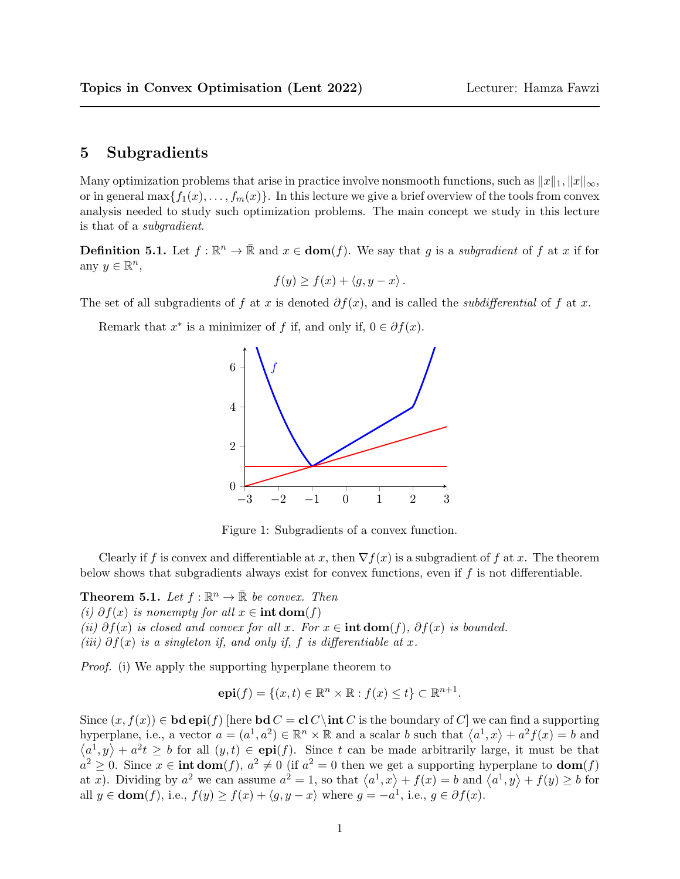## 5 Subgradients

Many optimization problems that arise in practice involve nonsmooth functions, such as  $||x||_1, ||x||_{\infty}$ , or in general max $\{f_1(x), \ldots, f_m(x)\}\$ . In this lecture we give a brief overview of the tools from convex analysis needed to study such optimization problems. The main concept we study in this lecture is that of a subgradient.

**Definition 5.1.** Let  $f : \mathbb{R}^n \to \bar{\mathbb{R}}$  and  $x \in \text{dom}(f)$ . We say that g is a subgradient of f at x if for any  $y \in \mathbb{R}^n$ ,

$$
f(y) \ge f(x) + \langle g, y - x \rangle.
$$

The set of all subgradients of f at x is denoted  $\partial f(x)$ , and is called the *subdifferential* of f at x.

Remark that  $x^*$  is a minimizer of f if, and only if,  $0 \in \partial f(x)$ .



Figure 1: Subgradients of a convex function.

Clearly if f is convex and differentiable at x, then  $\nabla f(x)$  is a subgradient of f at x. The theorem below shows that subgradients always exist for convex functions, even if  $f$  is not differentiable.

**Theorem 5.1.** Let  $f : \mathbb{R}^n \to \bar{\mathbb{R}}$  be convex. Then (i)  $\partial f(x)$  is nonempty for all  $x \in \text{int dom}(f)$ (ii)  $\partial f(x)$  is closed and convex for all x. For  $x \in \text{int dom}(f)$ ,  $\partial f(x)$  is bounded. (iii)  $\partial f(x)$  is a singleton if, and only if, f is differentiable at x.

Proof. (i) We apply the supporting hyperplane theorem to

$$
\mathbf{epi}(f) = \{(x, t) \in \mathbb{R}^n \times \mathbb{R} : f(x) \le t\} \subset \mathbb{R}^{n+1}.
$$

Since  $(x, f(x)) \in \mathbf{bd} \operatorname{epi}(f)$  [here  $\mathbf{bd} C = \mathbf{cl} C \setminus \mathbf{int} C$  is the boundary of C] we can find a supporting hyperplane, i.e., a vector  $a = (a^1, a^2) \in \mathbb{R}^n \times \mathbb{R}$  and a scalar b such that  $\langle a^1, x \rangle + a^2 f(x) = b$  and  $\langle a^1, y \rangle + a^2 t \geq b$  for all  $(y, t) \in \text{epi}(f)$ . Since t can be made arbitrarily large, it must be that  $a^2 \geq 0$ . Since  $x \in \text{int dom}(f)$ ,  $a^2 \neq 0$  (if  $a^2 = 0$  then we get a supporting hyperplane to  $\text{dom}(f)$ ) at x). Dividing by  $a^2$  we can assume  $a^2 = 1$ , so that  $\langle a^1, x \rangle + f(x) = b$  and  $\langle a^1, y \rangle + f(y) \ge b$  for all  $y \in \text{dom}(f)$ , i.e.,  $f(y) \ge f(x) + \langle g, y - x \rangle$  where  $g = -a^1$ , i.e.,  $g \in \partial f(x)$ .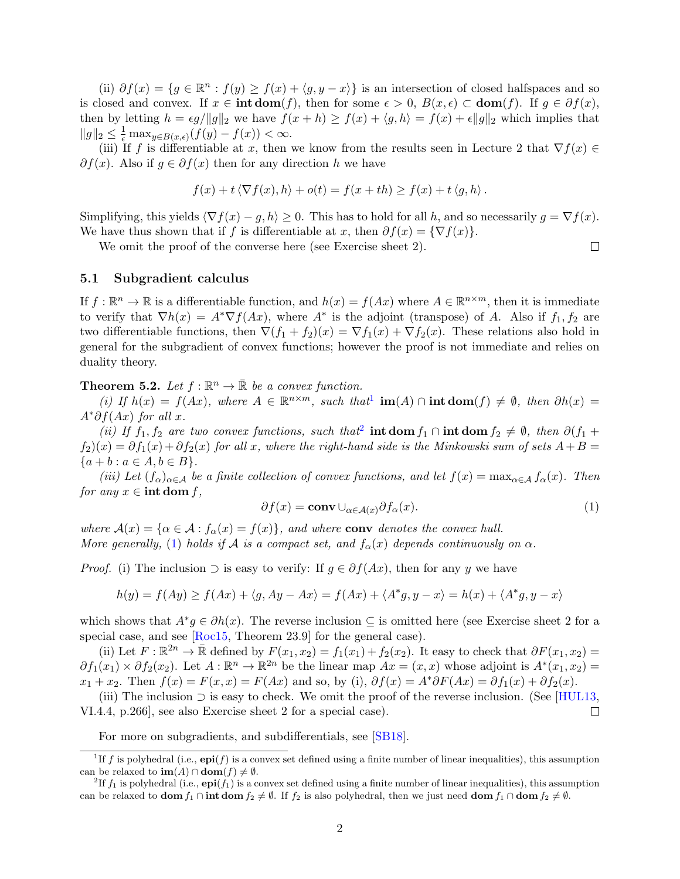<span id="page-1-3"></span>(ii)  $\partial f(x) = \{g \in \mathbb{R}^n : f(y) \ge f(x) + \langle g, y - x \rangle\}$  is an intersection of closed halfspaces and so is closed and convex. If  $x \in \text{int dom}(f)$ , then for some  $\epsilon > 0$ ,  $B(x, \epsilon) \subset \text{dom}(f)$ . If  $g \in \partial f(x)$ , then by letting  $h = \epsilon g / ||g||_2$  we have  $f(x + h) \ge f(x) + \langle g, h \rangle = f(x) + \epsilon ||g||_2$  which implies that  $||g||_2 \leq \frac{1}{\epsilon} \max_{y \in B(x,\epsilon)} (f(y) - f(x)) < \infty.$ 

(iii) If f is differentiable at x, then we know from the results seen in Lecture 2 that  $\nabla f(x) \in$  $\partial f(x)$ . Also if  $g \in \partial f(x)$  then for any direction h we have

$$
f(x) + t \langle \nabla f(x), h \rangle + o(t) = f(x + th) \ge f(x) + t \langle g, h \rangle.
$$

Simplifying, this yields  $\langle \nabla f(x) - g, h \rangle \ge 0$ . This has to hold for all h, and so necessarily  $g = \nabla f(x)$ . We have thus shown that if f is differentiable at x, then  $\partial f(x) = \{ \nabla f(x) \}.$ 

We omit the proof of the converse here (see Exercise sheet 2).

## 5.1 Subgradient calculus

If  $f: \mathbb{R}^n \to \mathbb{R}$  is a differentiable function, and  $h(x) = f(Ax)$  where  $A \in \mathbb{R}^{n \times m}$ , then it is immediate to verify that  $\nabla h(x) = A^* \nabla f(Ax)$ , where  $A^*$  is the adjoint (transpose) of A. Also if  $f_1, f_2$  are two differentiable functions, then  $\nabla (f_1 + f_2)(x) = \nabla f_1(x) + \nabla f_2(x)$ . These relations also hold in general for the subgradient of convex functions; however the proof is not immediate and relies on duality theory.

**Theorem 5.2.** Let  $f : \mathbb{R}^n \to \bar{\mathbb{R}}$  be a convex function.

(i) If  $h(x) = f(Ax)$ , where  $A \in \mathbb{R}^{n \times m}$ , such that  $\text{im}(A) \cap \text{int dom}(f) \neq \emptyset$ , then  $\partial h(x) =$  $A^*\partial f(Ax)$  for all x.

(ii) If  $f_1, f_2$  $f_1, f_2$  are two convex functions, such that int dom  $f_1 \cap \text{int dom } f_2 \neq \emptyset$ , then  $\partial(f_1 + f_2)$  $f_2(x) = \partial f_1(x) + \partial f_2(x)$  for all x, where the right-hand side is the Minkowski sum of sets  $A + B =$  ${a + b : a \in A, b \in B}.$ 

(iii) Let  $(f_\alpha)_{\alpha\in A}$  be a finite collection of convex functions, and let  $f(x) = \max_{\alpha\in A} f_\alpha(x)$ . Then for any  $x \in \text{int dom } f$ ,

<span id="page-1-2"></span>
$$
\partial f(x) = \mathbf{conv} \cup_{\alpha \in \mathcal{A}(x)} \partial f_{\alpha}(x). \tag{1}
$$

 $\Box$ 

where  $\mathcal{A}(x) = \{ \alpha \in \mathcal{A} : f_{\alpha}(x) = f(x) \}$ , and where conv denotes the convex hull. More generally, [\(1\)](#page-1-2) holds if A is a compact set, and  $f_{\alpha}(x)$  depends continuously on  $\alpha$ .

*Proof.* (i) The inclusion  $\supset$  is easy to verify: If  $g \in \partial f(Ax)$ , then for any y we have

$$
h(y) = f(Ay) \ge f(Ax) + \langle g, Ay - Ax \rangle = f(Ax) + \langle A^*g, y - x \rangle = h(x) + \langle A^*g, y - x \rangle
$$

which shows that  $A^*g \in \partial h(x)$ . The reverse inclusion  $\subseteq$  is omitted here (see Exercise sheet 2 for a special case, and see [\[Roc15,](#page-2-0) Theorem 23.9] for the general case).

(ii) Let  $F: \mathbb{R}^{2n} \to \bar{\mathbb{R}}$  defined by  $F(x_1, x_2) = f_1(x_1) + f_2(x_2)$ . It easy to check that  $\partial F(x_1, x_2) =$  $\partial f_1(x_1) \times \partial f_2(x_2)$ . Let  $A : \mathbb{R}^n \to \mathbb{R}^{2n}$  be the linear map  $Ax = (x, x)$  whose adjoint is  $A^*(x_1, x_2) =$  $x_1 + x_2$ . Then  $f(x) = F(x, x) = F(Ax)$  and so, by (i),  $\partial f(x) = A^* \partial F(Ax) = \partial f_1(x) + \partial f_2(x)$ .

(iii) The inclusion  $\supset$  is easy to check. We omit the proof of the reverse inclusion. (See [\[HUL13,](#page-2-1) VI.4.4, p.266], see also Exercise sheet 2 for a special case).  $\Box$ 

<span id="page-1-0"></span>For more on subgradients, and subdifferentials, see [\[SB18\]](#page-2-2).

<sup>&</sup>lt;sup>1</sup>If f is polyhedral (i.e.,  $epi(f)$  is a convex set defined using a finite number of linear inequalities), this assumption can be relaxed to  $\text{im}(A) \cap \text{dom}(f) \neq \emptyset$ .

<span id="page-1-1"></span><sup>&</sup>lt;sup>2</sup>If  $f_1$  is polyhedral (i.e.,  $epi(f_1)$  is a convex set defined using a finite number of linear inequalities), this assumption can be relaxed to **dom**  $f_1 \cap \text{int dom } f_2 \neq \emptyset$ . If  $f_2$  is also polyhedral, then we just need **dom**  $f_1 \cap \text{dom } f_2 \neq \emptyset$ .